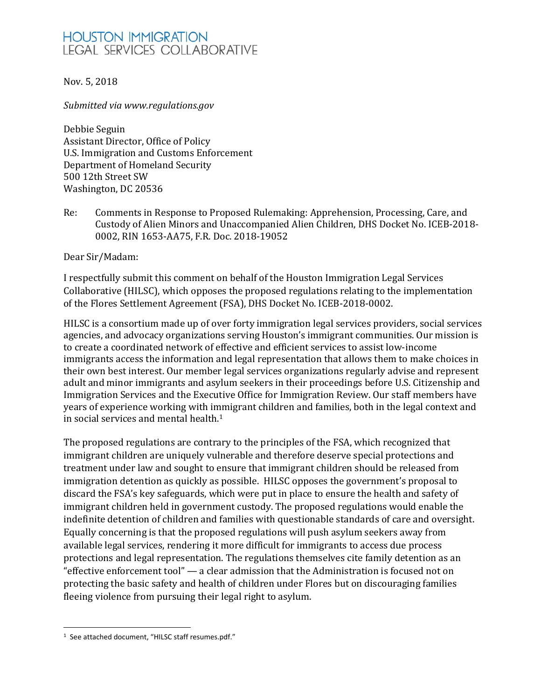# **HOUSTON IMMIGRATION LEGAL SERVICES COLLABORATIVE**

### Nov. 5, 2018

*Submitted via www.regulations.gov*

Debbie Seguin Assistant Director, Office of Policy U.S. Immigration and Customs Enforcement Department of Homeland Security 500 12th Street SW Washington, DC 20536

Re: Comments in Response to Proposed Rulemaking: Apprehension, Processing, Care, and Custody of Alien Minors and Unaccompanied Alien Children, DHS Docket No. ICEB-2018- 0002, RIN 1653-AA75, F.R. Doc. 2018-19052

Dear Sir/Madam:

I respectfully submit this comment on behalf of the Houston Immigration Legal Services Collaborative (HILSC), which opposes the proposed regulations relating to the implementation of the Flores Settlement Agreement (FSA), DHS Docket No. ICEB-2018-0002.

HILSC is a consortium made up of over forty immigration legal services providers, social services agencies, and advocacy organizations serving Houston's immigrant communities. Our mission is to create a coordinated network of effective and efficient services to assist low-income immigrants access the information and legal representation that allows them to make choices in their own best interest. Our member legal services organizations regularly advise and represent adult and minor immigrants and asylum seekers in their proceedings before U.S. Citizenship and Immigration Services and the Executive Office for Immigration Review. Our staff members have years of experience working with i[mm](#page-0-0)igrant children and families, both in the legal context and in social services and mental health. 1

The proposed regulations are contrary to the principles of the FSA, which recognized that immigrant children are uniquely vulnerable and therefore deserve special protections and treatment under law and sought to ensure that immigrant children should be released from immigration detention as quickly as possible. HILSC opposes the government's proposal to discard the FSA's key safeguards, which were put in place to ensure the health and safety of immigrant children held in government custody. The proposed regulations would enable the indefinite detention of children and families with questionable standards of care and oversight. Equally concerning is that the proposed regulations will push asylum seekers away from available legal services, rendering it more difficult for immigrants to access due process protections and legal representation. The regulations themselves cite family detention as an "effective enforcement tool" — a clear admission that the Administration is focused not on protecting the basic safety and health of children under Flores but on discouraging families fleeing violence from pursuing their legal right to asylum.

<span id="page-0-0"></span><sup>&</sup>lt;sup>1</sup> See attached document, "HILSC staff resumes.pdf."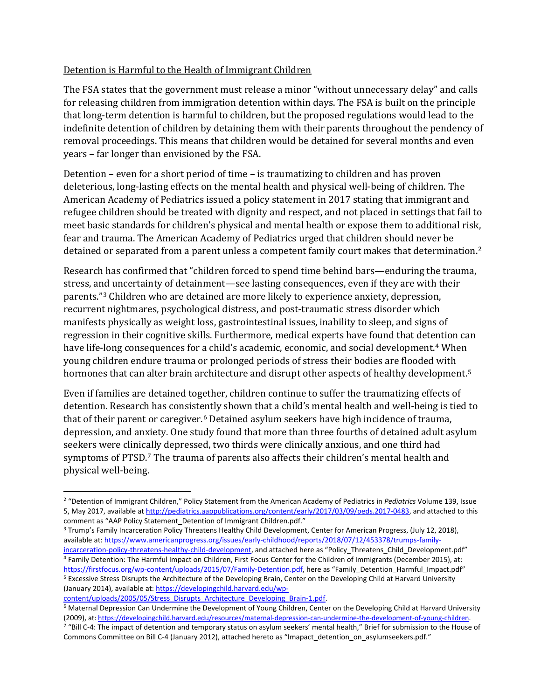# Detention is Harmful to the Health of Immigrant Children

The FSA states that the government must release a minor "without unnecessary delay" and calls for releasing children from immigration detention within days. The FSA is built on the principle that long-term detention is harmful to children, but the proposed regulations would lead to the indefinite detention of children by detaining them with their parents throughout the pendency of removal proceedings. This means that children would be detained for several months and even years – far longer than envisioned by the FSA.

Detention – even for a short period of time – is traumatizing to children and has proven deleterious, long-lasting effects on the mental health and physical well-being of children. The American Academy of Pediatrics issued a policy statement in 2017 stating that immigrant and refugee children should be treated with dignity and respect, and not placed in settings that fail to meet basic standards for children's physical and mental health or expose them to additional risk, fear and trauma. The American Academy of Pediatrics urged that children should never be detained or separated from a parent unless a competent family court makes that determination.[2](#page-1-0)

Research has confirmed that "children forced to spend time behind bars—enduring the trauma, stress, and uncertainty of detainment—see lasting consequences, even if they are with their parents."[3](#page-1-1) Children who are detained are more likely to experience anxiety, depression, recurrent nightmares, psychological distress, and post-traumatic stress disorder which manifests physically as weight loss, gastrointestinal issues, inability to sleep, and signs of regression in their cognitive skills. Furthermore, medical experts have found that detention can have life-long consequences for a child's academic, economic, and social development.<sup>[4](#page-1-2)</sup> When young children endure trauma or prolonged periods of stress their bodies are flooded with hormones that can alter brain architecture and disrupt other aspects of healthy development. [5](#page-1-3)

Even if families are detained together, children continue to suffer the traumatizing effects of detention. Research has consistently shown that a child's mental health and well-being is tied to that of their parent or caregiver.[6](#page-1-4) Detained asylum seekers have high incidence of trauma, depression, and anxiety. One study found that more than three fourths of detained adult asylum seekers were clinic[a](#page-1-5)lly depressed, two thirds were clinically anxious, and one third had symptoms of PTSD. <sup>7</sup> The trauma of parents also affects their children's mental health and physical well-being.

<span id="page-1-0"></span> <sup>2</sup> "Detention of Immigrant Children," Policy Statement from the American Academy of Pediatrics in *Pediatrics* Volume 139, Issue 5, May 2017, available a[t http://pediatrics.aappublications.org/content/early/2017/03/09/peds.2017-0483,](http://pediatrics.aappublications.org/content/early/2017/03/09/peds.2017-0483) and attached to this comment as "AAP Policy Statement Detention of Immigrant Children.pdf."

<span id="page-1-1"></span><sup>3</sup> Trump's Family Incarceration Policy Threatens Healthy Child Development, Center for American Progress, (July 12, 2018), available at[: https://www.americanprogress.org/issues/early-childhood/reports/2018/07/12/453378/trumps-family](https://www.americanprogress.org/issues/early-childhood/reports/2018/07/12/453378/trumps-family-incarceration-policy-threatens-healthy-child-development)[incarceration-policy-threatens-healthy-child-development,](https://www.americanprogress.org/issues/early-childhood/reports/2018/07/12/453378/trumps-family-incarceration-policy-threatens-healthy-child-development) and attached here as "Policy\_Threatens\_Child\_Development.pdf"

<span id="page-1-2"></span><sup>4</sup> Family Detention: The Harmful Impact on Children, First Focus Center for the Children of Immigrants (December 2015), at: [https://firstfocus.org/wp-content/uploads/2015/07/Family-Detention.pdf,](https://firstfocus.org/wp-content/uploads/2015/07/Family-Detention.pdf) here as "Family\_Detention\_Harmful\_Impact.pdf" <sup>5</sup> Excessive Stress Disrupts the Architecture of the Developing Brain, Center on the Developing Child at Harvard University (January 2014), available at[: https://developingchild.harvard.edu/wp-](https://developingchild.harvard.edu/wp-content/uploads/2005/05/Stress_Disrupts_Architecture_Developing_Brain-1.pdf)

<span id="page-1-4"></span><span id="page-1-3"></span>[content/uploads/2005/05/Stress\\_Disrupts\\_Architecture\\_Developing\\_Brain-1.pdf.](https://developingchild.harvard.edu/wp-content/uploads/2005/05/Stress_Disrupts_Architecture_Developing_Brain-1.pdf) <sup>6</sup> Maternal Depression Can Undermine the Development of Young Children, Center on the Developing Child at Harvard University (2009), at[: https://developingchild.harvard.edu/resources/maternal-depression-can-undermine-the-development-of-young-children.](https://developingchild.harvard.edu/resources/maternal-depression-can-undermine-the-development-of-young-children)

<span id="page-1-5"></span><sup>&</sup>lt;sup>7</sup> "Bill C-4: The impact of detention and temporary status on asylum seekers' mental health," Brief for submission to the House of Commons Committee on Bill C-4 (January 2012), attached hereto as "Imapact detention on asylumseekers.pdf."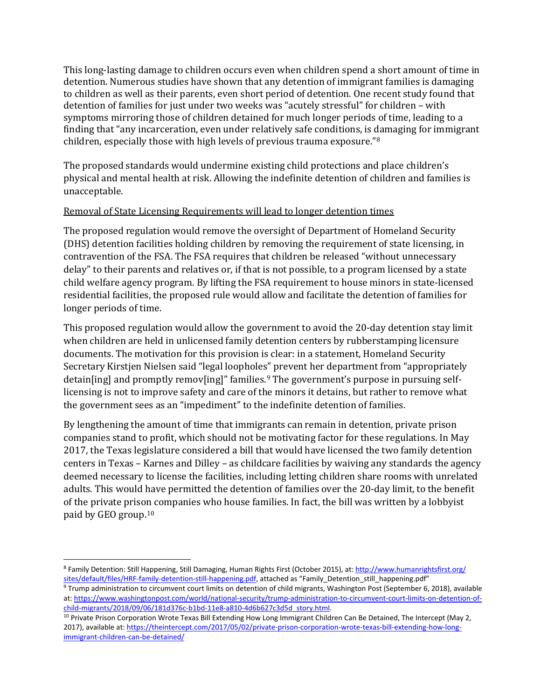This long-lasting damage to children occurs even when children spend a short amount of time in detention. Numerous studies have shown that any detention of immigrant families is damaging to children as well as their parents, even short period of detention. One recent study found that detention of families for just under two weeks was "acutely stressful" for children – with symptoms mirroring those of children detained for much longer periods of time, leading to a finding that "any incarceration, even under relatively safe conditions, is [da](#page-2-0)maging for immigrant children, especially those with high levels of previous trauma exposure."8

The proposed standards would undermine existing child protections and place children's physical and mental health at risk. Allowing the indefinite detention of children and families is unacceptable.

### Removal of State Licensing Requirements will lead to longer detention times

The proposed regulation would remove the oversight of Department of Homeland Security (DHS) detention facilities holding children by removing the requirement of state licensing, in contravention of the FSA. The FSA requires that children be released "without unnecessary delay" to their parents and relatives or, if that is not possible, to a program licensed by a state child welfare agency program. By lifting the FSA requirement to house minors in state-licensed residential facilities, the proposed rule would allow and facilitate the detention of families for longer periods of time.

This proposed regulation would allow the government to avoid the 20-day detention stay limit when children are held in unlicensed family detention centers by rubberstamping licensure documents. The motivation for this provision is clear: in a statement, Homeland Security Secretary Kirstjen Nielsen said "legal loopholes" prevent her department from "appropriately detain[ing] and promptly remov[ing]" families.<sup>[9](#page-2-1)</sup> The government's purpose in pursuing selflicensing is not to improve safety and care of the minors it detains, but rather to remove what the government sees as an "impediment" to the indefinite detention of families.

By lengthening the amount of time that immigrants can remain in detention, private prison companies stand to profit, which should not be motivating factor for these regulations. In May 2017, the Texas legislature considered a bill that would have licensed the two family detention centers in Texas – Karnes and Dilley – as childcare facilities by waiving any standards the agency deemed necessary to license the facilities, including letting children share rooms with unrelated adults. This would have permitted the detention of families over the 20-day limit, to the benefit of the private prison companies who house families. In fact, the bill was written by a lobbyist paid by GEO group.[10](#page-2-2) 

<span id="page-2-0"></span> <sup>8</sup> Family Detention: Still Happening, Still Damaging, Human Rights First (October 2015), at[: http://www.humanrightsfirst.org/](http://www.humanrightsfirst.org/%20sites/default/files/HRF-family-detention-still-happening.pdf)  [sites/default/files/HRF-family-detention-still-happening.pdf,](http://www.humanrightsfirst.org/%20sites/default/files/HRF-family-detention-still-happening.pdf) attached as "Family\_Detention\_still\_happening.pdf"

<span id="page-2-1"></span><sup>9</sup> Trump administration to circumvent court limits on detention of child migrants, Washington Post (September 6, 2018), available at: [https://www.washingtonpost.com/world/national-security/trump-administration-to-circumvent-court-limits-on-detention-of](https://www.washingtonpost.com/world/national-security/trump-administration-to-circumvent-court-limits-on-detention-of-child-migrants/2018/09/06/181d376c-b1bd-11e8-a810-4d6b627c3d5d_story.html)[child-migrants/2018/09/06/181d376c-b1bd-11e8-a810-4d6b627c3d5d\\_story.html.](https://www.washingtonpost.com/world/national-security/trump-administration-to-circumvent-court-limits-on-detention-of-child-migrants/2018/09/06/181d376c-b1bd-11e8-a810-4d6b627c3d5d_story.html)

<span id="page-2-2"></span><sup>&</sup>lt;sup>10</sup> Private Prison Corporation Wrote Texas Bill Extending How Long Immigrant Children Can Be Detained, The Intercept (May 2, 2017), available at[: https://theintercept.com/2017/05/02/private-prison-corporation-wrote-texas-bill-extending-how-long](https://theintercept.com/2017/05/02/private-prison-corporation-wrote-texas-bill-extending-how-long-immigrant-children-can-be-detained/)[immigrant-children-can-be-detained/](https://theintercept.com/2017/05/02/private-prison-corporation-wrote-texas-bill-extending-how-long-immigrant-children-can-be-detained/)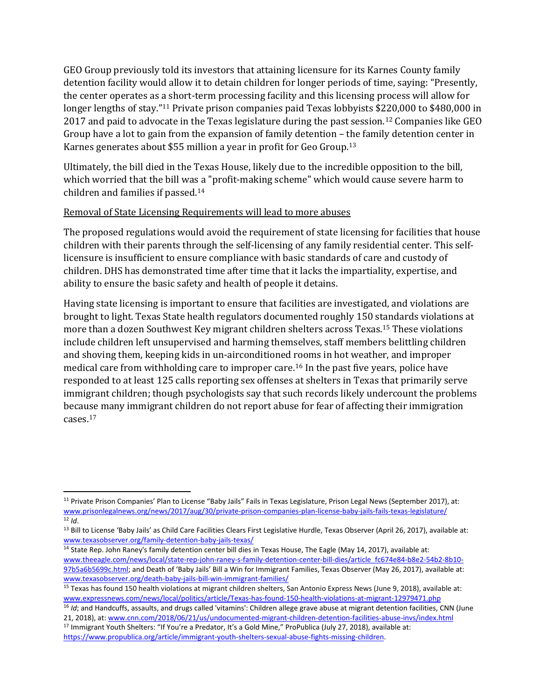GEO Group previously told its investors that attaining licensure for its Karnes County family detention facility would allow it to detain children for longer periods of time, saying: "Presently, the center operates as a short-term processing facility and this licensing process will allow for longer lengths of stay."<sup>[11](#page-3-0)</sup> Private prison companies paid Texas lobbyists \$220,000 to \$480,000 in 2017 and paid to advocate in the Texas legislature during the past session.<sup>[12](#page-3-1)</sup> Companies like GEO Group have a lot to gain from the expansion of family detention – the family detention center in Karnes generates about \$55 million a year in profit for Geo Group.<sup>13</sup>

Ultimately, the bill died in the Texas House, likely due to the incredible opposition to the bill, which worried that the bill was a "profit-making scheme" which would cause severe harm to children and families if passed.[14](#page-3-3)

### Removal of State Licensing Requirements will lead to more abuses

The proposed regulations would avoid the requirement of state licensing for facilities that house children with their parents through the self-licensing of any family residential center. This selflicensure is insufficient to ensure compliance with basic standards of care and custody of children. DHS has demonstrated time after time that it lacks the impartiality, expertise, and ability to ensure the basic safety and health of people it detains.

Having state licensing is important to ensure that facilities are investigated, and violations are brought to light. Texas State health regulators documented roughly 150 standards violations at more than a dozen Southwest Key migrant children shelters across Texas[.15](#page-3-4) These violations include children left unsupervised and harming themselves, staff members belittling children and shoving them, keeping kids in un-airconditioned rooms in hot weather, and improper medical care from withholding care to improper care.[16](#page-3-5) In the past five years, police have responded to at least 125 calls reporting sex offenses at shelters in Texas that primarily serve immigrant children; though psychologists say that such records likely undercount the problems because many immigrant children do not report abuse for fear of affecting their immigration cases.[17](#page-3-6)

<span id="page-3-0"></span> <sup>11</sup> Private Prison Companies' Plan to License "Baby Jails" Fails in Texas Legislature, Prison Legal News (September 2017), at: [www.prisonlegalnews.org/news/2017/aug/30/private-prison-companies-plan-license-baby-jails-fails-texas-legislature/](http://www.prisonlegalnews.org/news/2017/aug/30/private-prison-companies-plan-license-baby-jails-fails-texas-legislature/) <sup>12</sup> *Id*.

<span id="page-3-2"></span><span id="page-3-1"></span><sup>&</sup>lt;sup>13</sup> Bill to License 'Baby Jails' as Child Care Facilities Clears First Legislative Hurdle, Texas Observer (April 26, 2017), available at: [www.texasobserver.org/family-detention-baby-jails-texas/](http://www.texasobserver.org/family-detention-baby-jails-texas/)

<span id="page-3-3"></span><sup>&</sup>lt;sup>14</sup> State Rep. John Raney's family detention center bill dies in Texas House, The Eagle (May 14, 2017), available at: [www.theeagle.com/news/local/state-rep-john-raney-s-family-detention-center-bill-dies/article\\_fc674e84-b8e2-54b2-8b10-](http://www.theeagle.com/news/local/state-rep-john-raney-s-family-detention-center-bill-dies/article_fc674e84-b8e2-54b2-8b10-97b5a6b5699c.html) [97b5a6b5699c.html;](http://www.theeagle.com/news/local/state-rep-john-raney-s-family-detention-center-bill-dies/article_fc674e84-b8e2-54b2-8b10-97b5a6b5699c.html) and Death of 'Baby Jails' Bill a Win for Immigrant Families, Texas Observer (May 26, 2017), available at: [www.texasobserver.org/death-baby-jails-bill-win-immigrant-families/](http://www.texasobserver.org/death-baby-jails-bill-win-immigrant-families/)

<span id="page-3-4"></span><sup>15</sup> Texas has found 150 health violations at migrant children shelters, San Antonio Express News (June 9, 2018), available at: [www.expressnews.com/news/local/politics/article/Texas-has-found-150-health-violations-at-migrant-12979471.php](http://www.expressnews.com/news/local/politics/article/Texas-has-found-150-health-violations-at-migrant-12979471.php)

<span id="page-3-5"></span><sup>&</sup>lt;sup>16</sup> *Id*; and Handcuffs, assaults, and drugs called 'vitamins': Children allege grave abuse at migrant detention facilities, CNN (June 21, 2018), at: [www.cnn.com/2018/06/21/us/undocumented-migrant-children-detention-facilities-abuse-invs/index.html](http://www.cnn.com/2018/06/21/us/undocumented-migrant-children-detention-facilities-abuse-invs/index.html)

<span id="page-3-6"></span><sup>&</sup>lt;sup>17</sup> Immigrant Youth Shelters: "If You're a Predator, It's a Gold Mine," ProPublica (July 27, 2018), available at: [https://www.propublica.org/article/immigrant-youth-shelters-sexual-abuse-fights-missing-children.](https://www.propublica.org/article/immigrant-youth-shelters-sexual-abuse-fights-missing-children)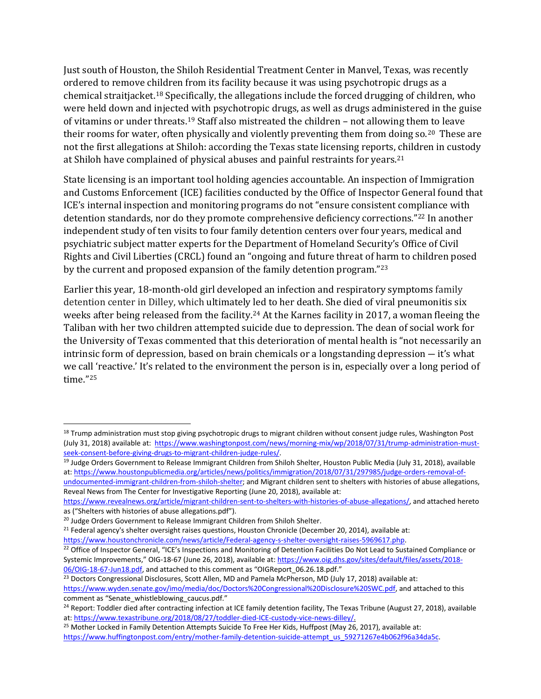Just south of Houston, the Shiloh Residential Treatment Center in Manvel, Texas, was recently ordered to remove children from its facility because it was using psychotropic drugs as a chemical straitjacket.[18](#page-4-0) Specifically, the allegations include the forced drugging of children, who were held down and injected with psychotropic drugs, as well as drugs administered in the guise of vitamins or under threats.[19](#page-4-1) Staff also mistreated the children – not allowing them to leave their rooms for water, often physically and violently preventing them from doing so.<sup>20</sup> These are not the first allegations at Shiloh: according the Texas state licensing reports, children in custody at Shiloh have complained of physical abuses and painful restraints for years.<sup>[21](#page-4-3)</sup>

State licensing is an important tool holding agencies accountable. An inspection of Immigration and Customs Enforcement (ICE) facilities conducted by the Office of Inspector General found that ICE's internal inspection and monitoring programs do not "ensure consistent compliance with detention standards, nor do they promote comprehensive deficiency corrections."[22](#page-4-4) In another independent study of ten visits to four family detention centers over four years, medical and psychiatric subject matter experts for the Department of Homeland Security's Office of Civil Rights and Civil Liberties (CRCL) found an "ongoing and future threat of harm to children posed by the current and proposed expansion of the family detention program."[23](#page-4-5)

Earlier this year, 18-month-old girl developed an infection and respiratory symptoms family detention center in Dilley, which ultimately led to her death. She died of viral pneumonitis six weeks after being released from the facility.<sup>24</sup> At the Karnes facility in 2017, a woman fleeing the Taliban with her two children attempted suicide due to depression. The dean of social work for the University of Texas commented that this deterioration of mental health is "not necessarily an intrinsic form of depression, based on brain chemicals or a longstanding depression ― it's what we call 'reactive.' It's related to the environment the person is in, especially over a long period of time."[25](#page-4-7)

<span id="page-4-0"></span><sup>&</sup>lt;sup>18</sup> Trump administration must stop giving psychotropic drugs to migrant children without consent judge rules, Washington Post (July 31, 2018) available at: https://www.washingtonpost.com/news/morning-mix/wp/2018/07/31/trump-administration-must-<br>seek-consent-before-giving-drugs-to-migrant-children-judge-rules/.

<span id="page-4-1"></span><sup>&</sup>lt;sup>19</sup> Judge Orders Government to Release Immigrant Children from Shiloh Shelter, Houston Public Media (July 31, 2018), available at: [https://www.houstonpublicmedia.org/articles/news/politics/immigration/2018/07/31/297985/judge-orders-removal-of-](https://www.houstonpublicmedia.org/articles/news/politics/immigration/2018/07/31/297985/judge-orders-removal-of-undocumented-immigrant-children-from-shiloh-shelter)

[undocumented-immigrant-children-from-shiloh-shelter;](https://www.houstonpublicmedia.org/articles/news/politics/immigration/2018/07/31/297985/judge-orders-removal-of-undocumented-immigrant-children-from-shiloh-shelter) and Migrant children sent to shelters with histories of abuse allegations, Reveal News from The Center for Investigative Reporting (June 20, 2018), available at:

[https://www.revealnews.org/article/migrant-children-sent-to-shelters-with-histories-of-abuse-allegations/,](https://www.revealnews.org/article/migrant-children-sent-to-shelters-with-histories-of-abuse-allegations/) and attached hereto as ("Shelters with histories of abuse allegations.pdf").

<span id="page-4-2"></span><sup>&</sup>lt;sup>20</sup> Judge Orders Government to Release Immigrant Children from Shiloh Shelter.

<span id="page-4-3"></span><sup>&</sup>lt;sup>21</sup> Federal agency's shelter oversight raises questions, Houston Chronicle (December 20, 2014), available at:<br>https://www.houstonchronicle.com/news/article/Federal-agency-s-shelter-oversight-raises-5969617.php.

<span id="page-4-4"></span><sup>&</sup>lt;sup>22</sup> Office of Inspector General, "ICE's Inspections and Monitoring of Detention Facilities Do Not Lead to Sustained Compliance or Systemic Improvements," OIG-18-67 (June 26, 2018), available at[: https://www.oig.dhs.gov/sites/default/files/assets/2018-](https://www.oig.dhs.gov/sites/default/files/assets/2018-06/OIG-18-67-Jun18.pdf) [06/OIG-18-67-Jun18.pdf,](https://www.oig.dhs.gov/sites/default/files/assets/2018-06/OIG-18-67-Jun18.pdf) and attached to this comment as "OIGReport\_06.26.18.pdf."

<span id="page-4-5"></span><sup>&</sup>lt;sup>23</sup> Doctors Congressional Disclosures, Scott Allen, MD and Pamela McPherson, MD (July 17, 2018) available at: [https://www.wyden.senate.gov/imo/media/doc/Doctors%20Congressional%20Disclosure%20SWC.pdf,](https://www.wyden.senate.gov/imo/media/doc/Doctors%20Congressional%20Disclosure%20SWC.pdf) and attached to this

<span id="page-4-6"></span>comment as "Senate\_whistleblowing\_caucus.pdf."<br><sup>24</sup> Report: Toddler died after contracting infection at ICE family detention facility, The Texas Tribune (August 27, 2018), available at: [https://www.texastribune.org/2018/08/27/toddler-died-ICE-custody-vice-news-dilley/.](https://www.texastribune.org/2018/08/27/toddler-died-ICE-custody-vice-news-dilley/)

<span id="page-4-7"></span><sup>&</sup>lt;sup>25</sup> Mother Locked in Family Detention Attempts Suicide To Free Her Kids, Huffpost (May 26, 2017), available at: [https://www.huffingtonpost.com/entry/mother-family-detention-suicide-attempt\\_us\\_59271267e4b062f96a34da5c.](https://www.huffingtonpost.com/entry/mother-family-detention-suicide-attempt_us_59271267e4b062f96a34da5c)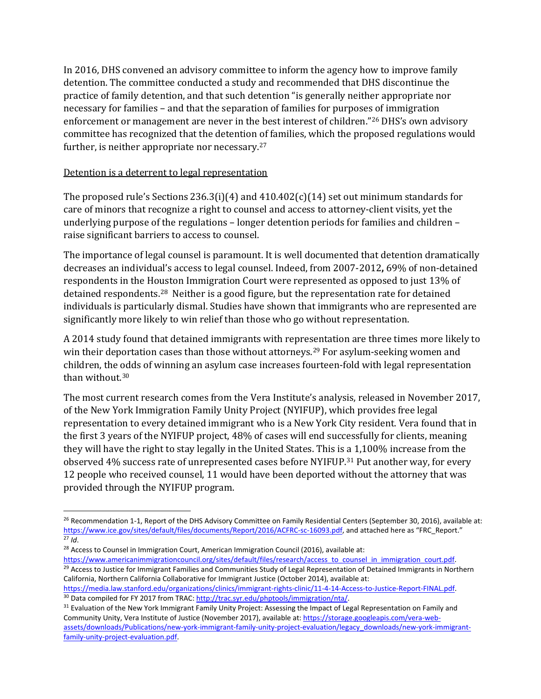In 2016, DHS convened an advisory committee to inform the agency how to improve family detention. The committee conducted a study and recommended that DHS [discontinue](https://www.ice.gov/sites/default/files/documents/Report/2016/ACFRC-sc-16093.pdf) the [practice](https://www.ice.gov/sites/default/files/documents/Report/2016/ACFRC-sc-16093.pdf) of family detention, and that such detention "is generally neither appropriate nor necessary for families – and that the separation of families for purposes of immigration enforcement or management are never in the best interest of children."[26](#page-5-0) DHS's own advisory committee has recognized that the detention of families, which the proposed regulations would further, is neither appropriate nor necessary.<sup>[27](#page-5-1)</sup>

# Detention is a deterrent to legal representation

The proposed rule's Sections 236.3(i)(4) and 410.402(c)(14) set out minimum standards for care of minors that recognize a right to counsel and access to attorney-client visits, yet the underlying purpose of the regulations – longer detention periods for families and children – raise significant barriers to access to counsel.

The importance of legal counsel is paramount. It is well documented that detention dramatically decreases an individual's access to legal counsel. Indeed, from 2007-2012**,** 69% of non-detained respondents in the Houston Immigration Court were represented as opposed to just 13% of detained respondents. [28](#page-5-2) Neither is a good figure, but the representation rate for detained individuals is particularly dismal. Studies have shown that immigrants who are represented are significantly more likely to win relief than those who go without representation.

A 2014 study found that detained immigrants with representation are three times more likely to win their deportation cases than those without attorneys.<sup>[29](#page-5-3)</sup> For asylum-seeking women and children, the [od](#page-5-4)ds of winning an asylum case increases fourteen-fold with legal representation than without.<sup>30</sup>

The most current research comes from the Vera Institute's analysis, released in November 2017, of the New York Immigration Family Unity Project (NYIFUP), which provides free legal representation to every detained immigrant who is a New York City resident. Vera found that in the first 3 years of the NYIFUP project, 48% of cases will end successfully for clients, meaning they will have the right to stay legally in the United States. This is a 1,100% increase from the observed 4% success rate of unrepresented cases before NYIFUP.<sup>[31](#page-5-5)</sup> Put another way, for every 12 people who received counsel, 11 would have been deported without the attorney that was provided through the NYIFUP program.

<span id="page-5-2"></span><span id="page-5-1"></span><sup>28</sup> Access to Counsel in Immigration Court, American Immigration Council (2016), available at:

<span id="page-5-3"></span>[https://www.americanimmigrationcouncil.org/sites/default/files/research/access\\_to\\_counsel\\_in\\_immigration\\_court.pdf.](https://www.americanimmigrationcouncil.org/sites/default/files/research/access_to_counsel_in_immigration_court.pdf) <sup>29</sup> Access to Justice for Immigrant Families and Communities Study of Legal Representation of Detained Immigrants in Northern California, Northern California Collaborative for Immigrant Justice (October 2014), available at:

[https://media.law.stanford.edu/organizations/clinics/immigrant-rights-clinic/11-4-14-Access-to-Justice-Report-FINAL.pdf.](https://media.law.stanford.edu/organizations/clinics/immigrant-rights-clinic/11-4-14-Access-to-Justice-Report-FINAL.pdf)<br><sup>30</sup> Data compiled for FY 2017 from TRAC: http://trac.syr.edu/phptools/immigration/nta/.

<span id="page-5-5"></span><span id="page-5-4"></span><sup>31</sup> Evaluation of the New York Immigrant Family Unity Project: Assessing the Impact of Legal Representation on Family and Community Unity, Vera Institute of Justice (November 2017), available at[: https://storage.googleapis.com/vera-web](https://storage.googleapis.com/vera-web-assets/downloads/Publications/new-york-immigrant-family-unity-project-evaluation/legacy_downloads/new-york-immigrant-family-unity-project-evaluation.pdf)[assets/downloads/Publications/new-york-immigrant-family-unity-project-evaluation/legacy\\_downloads/new-york-immigrant](https://storage.googleapis.com/vera-web-assets/downloads/Publications/new-york-immigrant-family-unity-project-evaluation/legacy_downloads/new-york-immigrant-family-unity-project-evaluation.pdf)[family-unity-project-evaluation.pdf.](https://storage.googleapis.com/vera-web-assets/downloads/Publications/new-york-immigrant-family-unity-project-evaluation/legacy_downloads/new-york-immigrant-family-unity-project-evaluation.pdf)

<span id="page-5-0"></span><sup>&</sup>lt;sup>26</sup> Recommendation 1-1, Report of the DHS Advisory Committee on Family Residential Centers (September 30, 2016), available at: [https://www.ice.gov/sites/default/files/documents/Report/2016/ACFRC-sc-16093.pdf,](https://www.ice.gov/sites/default/files/documents/Report/2016/ACFRC-sc-16093.pdf) and attached here as "FRC\_Report."  $\overline{27}$  *Id*.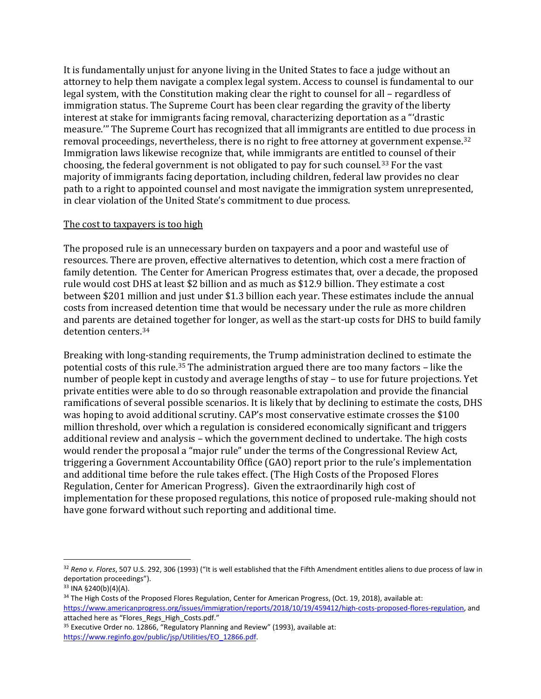It is fundamentally unjust for anyone living in the United States to face a judge without an attorney to help them navigate a complex legal system. Access to counsel is fundamental to our legal system, with the Constitution making clear the right to counsel for all – regardless of immigration status. The Supreme Court has been clear regarding the gravity of the liberty interest at stake for immigrants facing removal, characterizing deportation as a "'drastic measure.'" The Supreme Court has recognized that all immigrants are entitled to due process in removal proceedings, nevertheless, there is no right to free attorney at government expense.[32](#page-6-0) Immigration laws likewise recognize that, while immigrants are entitled to counsel of their choosing, the federal government is not obligated to pay for such counsel.[33](#page-6-1) For the vast majority of immigrants facing deportation, including children, federal law provides no clear path to a right to appointed counsel and most navigate the immigration system unrepresented, in clear violation of the United State's commitment to due process.

#### The cost to taxpayers is too high

The proposed rule is an unnecessary burden on taxpayers and a poor and wasteful use of resources. There are proven, effective alternatives to detention, which cost a mere fraction of family detention. The Center for American Progress estimates that, over a decade, the proposed rule would cost DHS at least \$2 billion and as much as \$12.9 billion. They estimate a cost between \$201 million and just under \$1.3 billion each year. These estimates include the annual costs from increased detention time that would be necessary under the rule as more children and parents are detained together for longer, as well as the start-up costs for DHS to build family detention centers.[34](#page-6-2)

Breaking with long-standing requirements, the Trump administration declined to estimate the potential costs of this rule.[35](#page-6-3) The administration argued there are too many factors – like the number of people kept in custody and average lengths of stay – to use for future projections. Yet private entities were able to do so through reasonable extrapolation and provide the financial ramifications of several possible scenarios. It is likely that by declining to estimate the costs, DHS was hoping to avoid additional scrutiny. CAP's most conservative estimate crosses the \$100 million threshold, over which a regulation is considered economically significant and triggers additional review and analysis – which the government declined to undertake. The high costs would render the proposal a "major rule" under the terms of the Congressional Review Act, triggering a Government Accountability Office (GAO) report prior to the rule's implementation and additional time before the rule takes effect. (The High Costs of the Proposed Flores Regulation, Center for American Progress). Given the extraordinarily high cost of implementation for these proposed regulations, this notice of proposed rule-making should not have gone forward without such reporting and additional time.

<span id="page-6-0"></span> <sup>32</sup> *Reno v. Flores*, 507 U.S. 292, 306 (1993) ("It is well established that the Fifth Amendment entitles aliens to due process of law in deportation proceedings").

<span id="page-6-1"></span><sup>33</sup> INA §240(b)(4)(A).

<span id="page-6-2"></span><sup>&</sup>lt;sup>34</sup> The High Costs of the Proposed Flores Regulation, Center for American Progress, (Oct. 19, 2018), available at: [https://www.americanprogress.org/issues/immigration/reports/2018/10/19/459412/high-costs-proposed-flores-regulation,](https://www.americanprogress.org/issues/immigration/reports/2018/10/19/459412/high-costs-proposed-flores-regulation) and attached here as "Flores\_Regs\_High\_Costs.pdf."

<span id="page-6-3"></span><sup>&</sup>lt;sup>35</sup> Executive Order no. 12866, "Regulatory Planning and Review" (1993), available at: [https://www.reginfo.gov/public/jsp/Utilities/EO\\_12866.pdf.](https://www.reginfo.gov/public/jsp/Utilities/EO_12866.pdf)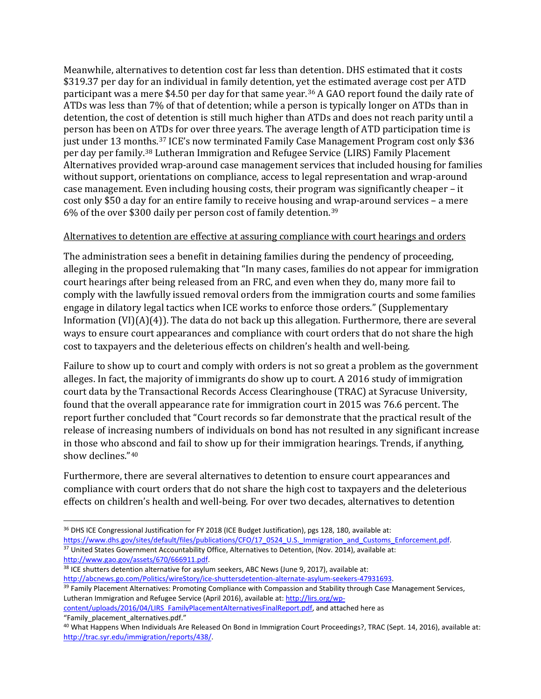Meanwhile, alternatives to detention cost far less than detention. DHS estimated that it costs \$319.37 per day for an individual in family detention, yet the estimated average cost per ATD participant was a mere \$4.50 per day for that same year.<sup>[36](#page-7-0)</sup> A GAO report found the daily rate of ATDs was less than 7% of that of detention; while a person is typically longer on ATDs than in detention, the cost of detention is still much higher than ATDs and does not reach parity until a person has been on A[TD](#page-7-1)s for over three years. The average length of ATD participation time is just under 13 months. <sup>37</sup> ICE's now terminated Family Case Management Program cost only \$36 per day per family.[38](#page-7-2) Lutheran Immigration and Refugee Service (LIRS) Family Placement Alternatives provided wrap-around case management services that included housing for families without support, orientations on compliance, access to legal representation and wrap-around case management. Even including housing costs, their program was significantly cheaper – it cost only \$50 a day for an entire family to receive housing and wrap-around services – a mere 6% of the over \$300 daily per person cost of family detention.[39](#page-7-3)

## Alternatives to detention are effective at assuring compliance with court hearings and orders

The administration sees a benefit in detaining families during the pendency of proceeding, alleging in the proposed rulemaking that "In many cases, families do not appear for immigration court hearings after being released from an FRC, and even when they do, many more fail to comply with the lawfully issued removal orders from the immigration courts and some families engage in dilatory legal tactics when ICE works to enforce those orders." (Supplementary Information (VI)(A)(4)). The data do not back up this allegation. Furthermore, there are several ways to ensure court appearances and compliance with court orders that do not share the high cost to taxpayers and the deleterious effects on children's health and well-being.

Failure to show up to court and comply with orders is not so great a problem as the government alleges. In fact, the majority of immigrants do show up to court. A 2016 study of immigration court data by the Transactional Records Access Clearinghouse (TRAC) at Syracuse University, found that the overall appearance rate for immigration court in 2015 was 76.6 percent. The report further concluded that "Court records so far demonstrate that the practical result of the release of increasing numbers of individuals on bond has not resulted in any significant increase in those who abscond and fail to show up for their immigration hearings. Trends, if anything, show declines."[40](#page-7-4)

Furthermore, there are several alternatives to detention to ensure court appearances and compliance with court orders that do not share the high cost to taxpayers and the deleterious effects on children's health and well-being. For over two decades, alternatives to detention

- <span id="page-7-0"></span><sup>36</sup> DHS ICE Congressional Justification for FY 2018 (ICE Budget Justification), pgs 128, 180, available at: [https://www.dhs.gov/sites/default/files/publications/CFO/17\\_0524\\_U.S.\\_Immigration\\_and\\_Customs\\_Enforcement.pdf.](https://www.dhs.gov/sites/default/files/publications/CFO/17_0524_U.S._Immigration_and_Customs_Enforcement.pdf) <sup>37</sup> United States Government Accountability Office, Alternatives to Detention, (Nov. 2014), available at: [http://www.gao.gov/assets/670/666911.pdf.](http://www.gao.gov/assets/670/666911.pdf)
- <span id="page-7-2"></span><span id="page-7-1"></span><sup>38</sup> ICE shutters detention alternative for asylum seekers, ABC News (June 9, 2017), available at: [http://abcnews.go.com/Politics/wireStory/ice-shuttersdetention-alternate-asylum-seekers-47931693.](http://abcnews.go.com/Politics/wireStory/ice-shuttersdetention-alternate-asylum-seekers-47931693)

<span id="page-7-3"></span><sup>39</sup> Family Placement Alternatives: Promoting Compliance with Compassion and Stability through Case Management Services, Lutheran Immigration and Refugee Service (April 2016), available at[: http://lirs.org/wp](http://lirs.org/wp-content/uploads/2016/04/LIRS_FamilyPlacementAlternativesFinalReport.pdf)[content/uploads/2016/04/LIRS\\_FamilyPlacementAlternativesFinalReport.pdf,](http://lirs.org/wp-content/uploads/2016/04/LIRS_FamilyPlacementAlternativesFinalReport.pdf) and attached here as

"Family\_placement\_alternatives.pdf."

<span id="page-7-4"></span><sup>40</sup> What Happens When Individuals Are Released On Bond in Immigration Court Proceedings?, TRAC (Sept. 14, 2016), available at: [http://trac.syr.edu/immigration/reports/438/.](http://trac.syr.edu/immigration/reports/438/)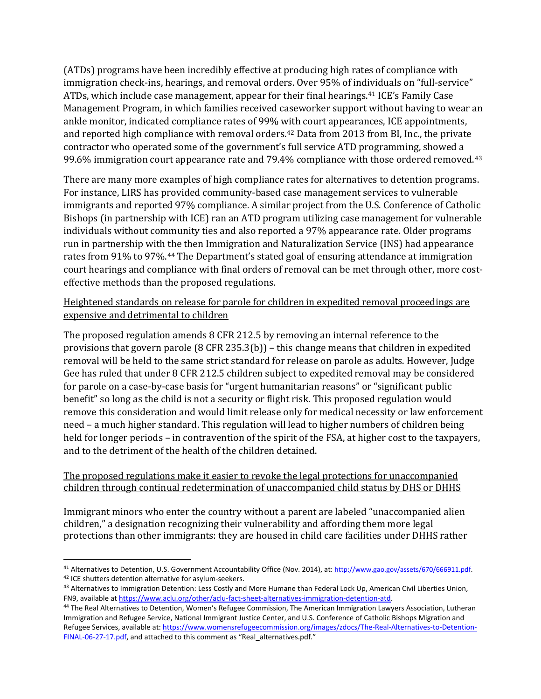(ATDs) programs have been incredibly effective at producing high rates of compliance with immigration check-ins, hearings, and removal orders. Over 95% of individuals on "full-service" ATDs, which include case management, appear for their final hearings.[41](#page-8-0) ICE's Family Case Management Program, in which families received caseworker support without having to wear an ankle monitor, indicated compliance rates of 99% [wit](#page-8-1)h court appearances, ICE appointments, and reported high compliance with removal orders. <sup>42</sup> Data from 2013 from BI, Inc., the private contractor who operated some of the government's full service ATD programming, showed a 99.6% immigration court appearance rate and 79.4% compliance with those ordered removed.<sup>[43](#page-8-2)</sup>

There are many more examples of high compliance rates for alternatives to detention programs. For instance, LIRS has provided community-based case management services to vulnerable immigrants and reported 97% compliance. A similar project from the U.S. Conference of Catholic Bishops (in partnership with ICE) ran an ATD program utilizing case management for vulnerable individuals without community ties and also reported a 97% appearance rate. Older programs run in partnership with the then Immigration and Naturalization Service (INS) had appearance rates from 91% to 97%.[44](#page-8-3) The Department's stated goal of ensuring attendance at immigration court hearings and compliance with final orders of removal can be met through other, more costeffective methods than the proposed regulations.

# Heightened standards on release for parole for children in expedited removal proceedings are expensive and detrimental to children

The proposed regulation amends 8 CFR 212.5 by removing an internal reference to the provisions that govern parole (8 CFR 235.3(b)) – this change means that children in expedited removal will be held to the same strict standard for release on parole as adults. However, Judge Gee has ruled that under 8 CFR 212.5 children subject to expedited removal may be considered for parole on a case-by-case basis for "urgent humanitarian reasons" or "significant public benefit" so long as the child is not a security or flight risk. This proposed regulation would remove this consideration and would limit release only for medical necessity or law enforcement need – a much higher standard. This regulation will lead to higher numbers of children being held for longer periods – in contravention of the spirit of the FSA, at higher cost to the taxpayers, and to the detriment of the health of the children detained.

# The proposed regulations make it easier to revoke the legal protections for unaccompanied children through continual redetermination of unaccompanied child status by DHS or DHHS

Immigrant minors who enter the country without a parent are labeled "unaccompanied alien children," a designation recognizing their vulnerability and affording them more legal protections than other immigrants: they are housed in child care facilities under DHHS rather

<span id="page-8-0"></span><sup>&</sup>lt;sup>41</sup> Alternatives to Detention, U.S. Government Accountability Office (Nov. 2014), at: [http://www.gao.gov/assets/670/666911.pdf.](http://www.gao.gov/assets/670/666911.pdf)<br><sup>42</sup> ICE shutters detention alternative for asylum-seekers.

<span id="page-8-2"></span><span id="page-8-1"></span><sup>43</sup> Alternatives to Immigration Detention: Less Costly and More Humane than Federal Lock Up, American Civil Liberties Union, FN9, available a[t https://www.aclu.org/other/aclu-fact-sheet-alternatives-immigration-detention-atd.](https://www.aclu.org/other/aclu-fact-sheet-alternatives-immigration-detention-atd)

<span id="page-8-3"></span><sup>44</sup> The Real Alternatives to Detention, Women's Refugee Commission, The American Immigration Lawyers Association, Lutheran Immigration and Refugee Service, National Immigrant Justice Center, and U.S. Conference of Catholic Bishops Migration and Refugee Services, available at[: https://www.womensrefugeecommission.org/images/zdocs/The-Real-Alternatives-to-Detention-](https://www.womensrefugeecommission.org/images/zdocs/The-Real-Alternatives-to-Detention-FINAL-06-27-17.pdf)[FINAL-06-27-17.pdf,](https://www.womensrefugeecommission.org/images/zdocs/The-Real-Alternatives-to-Detention-FINAL-06-27-17.pdf) and attached to this comment as "Real\_alternatives.pdf."